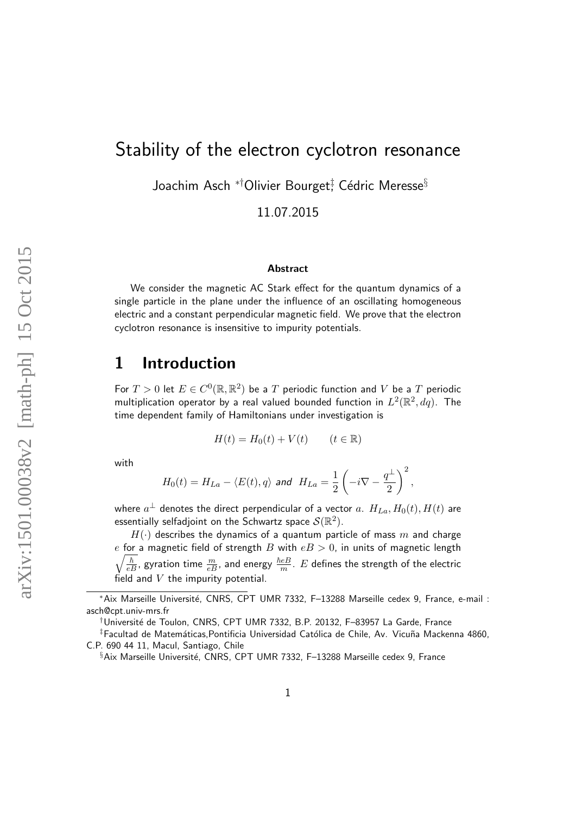# Stability of the electron cyclotron resonance

Joachim Asch  $^{*\dagger}$ Olivier Bourget $_+^\ddagger$  Cédric Meresse $^\S$ 

11.07.2015

#### Abstract

We consider the magnetic AC Stark effect for the quantum dynamics of a single particle in the plane under the influence of an oscillating homogeneous electric and a constant perpendicular magnetic field. We prove that the electron cyclotron resonance is insensitive to impurity potentials.

## 1 Introduction

For  $T > 0$  let  $E \in C^0(\mathbb{R}, \mathbb{R}^2)$  be a  $T$  periodic function and  $V$  be a  $T$  periodic multiplication operator by a real valued bounded function in  $L^2(\mathbb{R}^2,dq)$ . The time dependent family of Hamiltonians under investigation is

$$
H(t) = H_0(t) + V(t) \qquad (t \in \mathbb{R})
$$

with

$$
H_0(t)=H_{La}-\langle E(t),q\rangle\ \text{and}\ \ H_{La}=\frac{1}{2}\left(-i\nabla-\frac{q^\perp}{2}\right)^2,
$$

where  $a^\perp$  denotes the direct perpendicular of a vector  $a. \hspace{0.1in} H_{La}, H_0(t), H(t)$  are essentially selfadjoint on the Schwartz space  $\mathcal S(\mathbb R^2).$ 

 $H(\cdot)$  describes the dynamics of a quantum particle of mass m and charge  $\sqrt{\frac{\hbar}{eB}}$ , gyration time  $\frac{m}{eB}$ , and energy  $\frac{\hbar eB}{m}$ .  $E$  defines the strength of the electric e for a magnetic field of strength B with  $eB > 0$ , in units of magnetic length field and  $V$  the impurity potential.

<sup>∗</sup>Aix Marseille Universit´e, CNRS, CPT UMR 7332, F–13288 Marseille cedex 9, France, e-mail : asch@cpt.univ-mrs.fr

<sup>†</sup>Universit´e de Toulon, CNRS, CPT UMR 7332, B.P. 20132, F–83957 La Garde, France

<sup>‡</sup>Facultad de Matemáticas,Pontificia Universidad Católica de Chile, Av. Vicuña Mackenna 4860, C.P. 690 44 11, Macul, Santiago, Chile

<sup>§</sup>Aix Marseille Université, CNRS, CPT UMR 7332, F-13288 Marseille cedex 9, France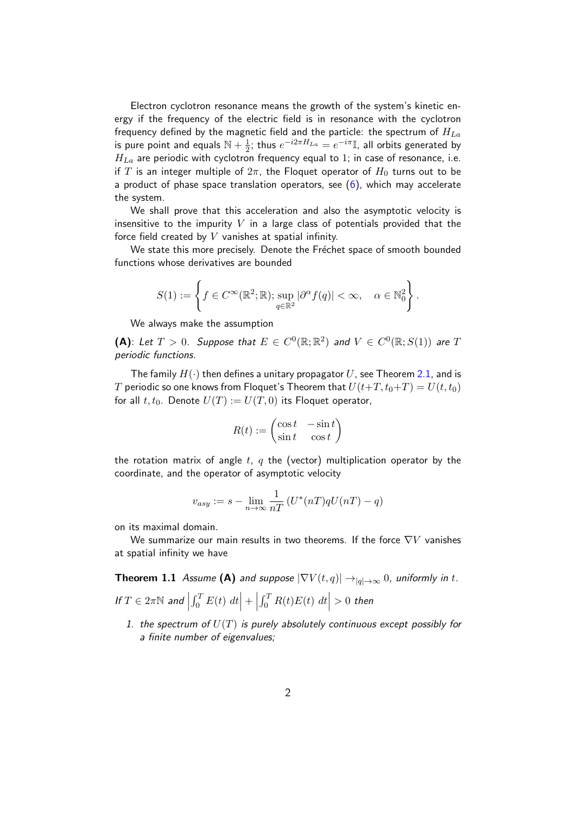Electron cyclotron resonance means the growth of the system's kinetic energy if the frequency of the electric field is in resonance with the cyclotron frequency defined by the magnetic field and the particle: the spectrum of  $H_{La}$ is pure point and equals  $\mathbb{N} + \frac{1}{2}$  $\frac{1}{2}$ ; thus  $e^{-i2\pi H_{La}} = e^{-i\pi} \mathbb{I}$ , all orbits generated by  $H_{La}$  are periodic with cyclotron frequency equal to 1; in case of resonance, i.e. if T is an integer multiple of  $2\pi$ , the Floquet operator of  $H_0$  turns out to be a product of phase space translation operators, see  $(6)$ , which may accelerate the system.

We shall prove that this acceleration and also the asymptotic velocity is insensitive to the impurity  $V$  in a large class of potentials provided that the force field created by  $V$  vanishes at spatial infinity.

We state this more precisely. Denote the Fréchet space of smooth bounded functions whose derivatives are bounded

$$
S(1) := \left\{ f \in C^{\infty}(\mathbb{R}^2; \mathbb{R}); \sup_{q \in \mathbb{R}^2} |\partial^{\alpha} f(q)| < \infty, \quad \alpha \in \mathbb{N}_0^2 \right\}.
$$

We always make the assumption

(A): Let  $T > 0$ . Suppose that  $E \in C^0(\mathbb{R}; \mathbb{R}^2)$  and  $V \in C^0(\mathbb{R}; S(1))$  are T periodic functions.

The family  $H(\cdot)$  then defines a unitary propagator U, see Theorem [2.1,](#page-4-0) and is T periodic so one knows from Floquet's Theorem that  $U(t+T, t_0+T) = U(t, t_0)$ for all  $t, t_0$ . Denote  $U(T) := U(T, 0)$  its Floquet operator,

$$
R(t) := \begin{pmatrix} \cos t & -\sin t \\ \sin t & \cos t \end{pmatrix}
$$

the rotation matrix of angle t, q the (vector) multiplication operator by the coordinate, and the operator of asymptotic velocity

$$
v_{asy} := s - \lim_{n \to \infty} \frac{1}{nT} \left( U^*(nT)qU(nT) - q \right)
$$

on its maximal domain.

We summarize our main results in two theorems. If the force  $\nabla V$  vanishes at spatial infinity we have

<span id="page-1-0"></span>**Theorem 1.1** Assume (A) and suppose  $|\nabla V(t,q)| \rightarrow_{|q| \rightarrow \infty} 0$ , uniformly in t.

- If  $T \in 2\pi\mathbb{N}$  and  $\Big|$  $\int_0^T E(t) dt$  + |  $\int_0^T R(t)E(t) dt \Big| > 0$  then 1. the spectrum of  $U(T)$  is purely absolutely continuous except possibly for
	- a finite number of eigenvalues;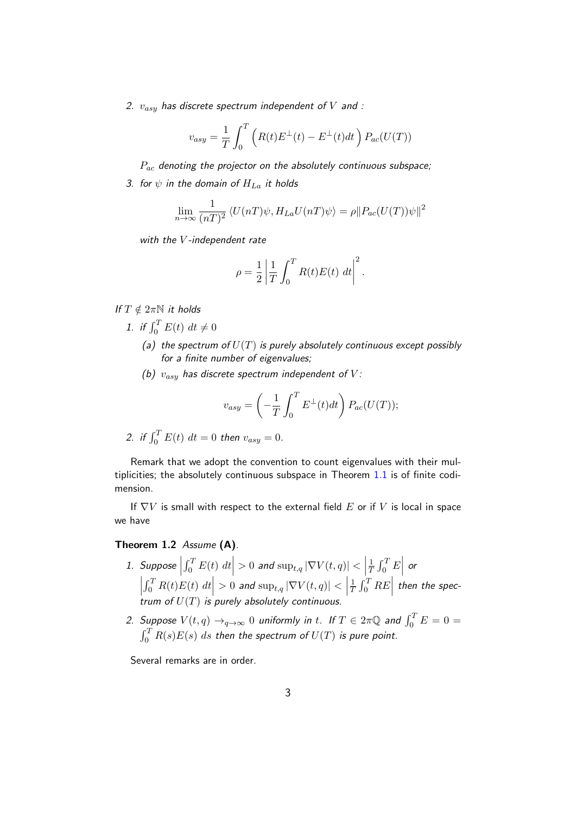2.  $v_{asy}$  has discrete spectrum independent of V and :

$$
v_{asy} = \frac{1}{T} \int_0^T \left( R(t) E^{\perp}(t) - E^{\perp}(t) dt \right) P_{ac}(U(T))
$$

 $P_{ac}$  denoting the projector on the absolutely continuous subspace;

3. for  $\psi$  in the domain of  $H_{La}$  it holds

$$
\lim_{n \to \infty} \frac{1}{(nT)^2} \langle U(nT)\psi, H_{La}U(nT)\psi \rangle = \rho \| P_{ac}(U(T))\psi \|^2
$$

with the  $V$ -independent rate

$$
\rho = \frac{1}{2} \left| \frac{1}{T} \int_0^T R(t)E(t) dt \right|^2.
$$

If  $T \notin 2\pi \mathbb{N}$  it holds

- 1. if  $\int_0^T E(t) dt \neq 0$ 
	- (a) the spectrum of  $U(T)$  is purely absolutely continuous except possibly for a finite number of eigenvalues;
	- (b)  $v_{asy}$  has discrete spectrum independent of V:

$$
v_{asy} = \left(-\frac{1}{T} \int_0^T E^{\perp}(t) dt\right) P_{ac}(U(T));
$$

2. if 
$$
\int_0^T E(t) dt = 0
$$
 then  $v_{asy} = 0$ .

Remark that we adopt the convention to count eigenvalues with their multiplicities; the absolutely continuous subspace in Theorem [1.1](#page-1-0) is of finite codimension.

If  $\nabla V$  is small with respect to the external field E or if V is local in space we have

### <span id="page-2-1"></span><span id="page-2-0"></span>Theorem 1.2 Assume (A).

- 1. Suppose  $\left|\int_0^T E(t) dt \right| > 0$  and  $\sup_{t,q} |\nabla V(t,q)| < \left|\right|$ 1  $\frac{1}{T} \int_0^T E$ or  $\begin{array}{c} \n\end{array}$  $\left| \int_0^T R(t)E(t) dt \right| > 0$  and  $\sup_{t,q} |\nabla V(t,q)| < \left| \int_0^T R(t)E(t) dt \right|$ 1  $\left|\int_0^T R(t)E(t) dt \right| > 0$  and  $\sup_{t,q} |\nabla V(t,q)| < \left|\frac{1}{T} \int_0^T RE\right|$  then the spectrum of  $U(T)$  is purely absolutely continuous.
- <span id="page-2-2"></span>2. Suppose  $V(t,q)\rightarrow_{q\rightarrow\infty}0$  uniformly in  $t.$  If  $T\in 2\pi\mathbb{Q}$  and  $\int_0^T E=0=0$  $\int_0^T R(s) E(s) \; ds$  then the spectrum of  $U(T)$  is pure point.

Several remarks are in order.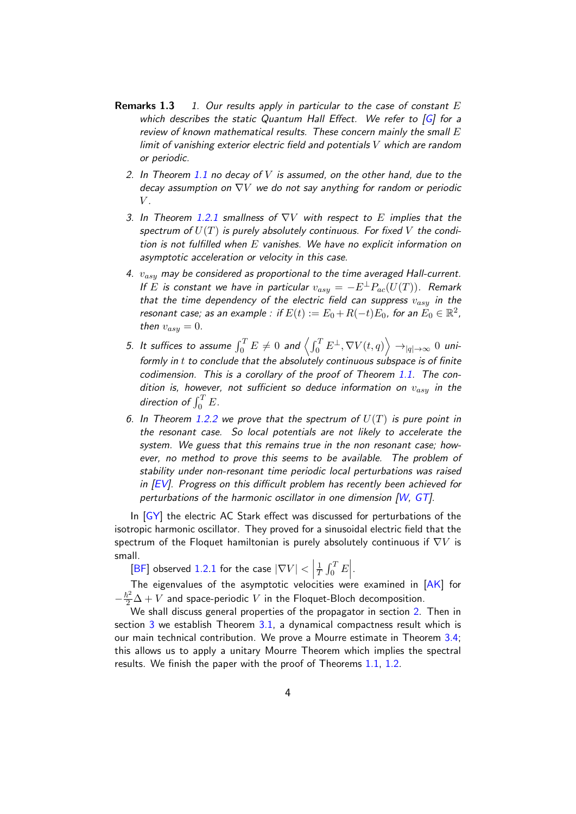- **Remarks 1.3** 1. Our results apply in particular to the case of constant  $E$ which describes the static Quantum Hall Effect. We refer to  $[G]$  for a review of known mathematical results. These concern mainly the small  $E$ limit of vanishing exterior electric field and potentials V which are random or periodic.
	- 2. In Theorem [1.1](#page-1-0) no decay of V is assumed, on the other hand, due to the decay assumption on  $\nabla V$  we do not say anything for random or periodic  $V$ .
	- 3. In Theorem [1.2.](#page-2-0)[1](#page-2-1) smallness of  $\nabla V$  with respect to E implies that the spectrum of  $U(T)$  is purely absolutely continuous. For fixed V the condition is not fulfilled when  $E$  vanishes. We have no explicit information on asymptotic acceleration or velocity in this case.
	- 4.  $v_{asy}$  may be considered as proportional to the time averaged Hall-current. If E is constant we have in particular  $v_{asy} = -E^{\perp} P_{ac}(U(T))$ . Remark that the time dependency of the electric field can suppress  $v_{asy}$  in the resonant case; as an example : if  $E(t):=E_0+R(-t)E_0$ , for an  $\check{E_0}\in \mathbb{R}^2$ , then  $v_{asy} = 0$ .
	- 5. It suffices to assume  $\int_0^T E\neq 0$  and  $\left\langle \int_0^T E^{\perp}, \nabla V(t,q) \right\rangle \to_{|q|\to\infty} 0$  uniformly in  $t$  to conclude that the absolutely continuous subspace is of finite codimension. This is a corollary of the proof of Theorem [1.1.](#page-1-0) The condition is, however, not sufficient so deduce information on  $v_{asy}$  in the direction of  $\int_0^T E$ .
	- 6. In Theorem [1.2.](#page-2-0)[2](#page-2-2) we prove that the spectrum of  $U(T)$  is pure point in the resonant case. So local potentials are not likely to accelerate the system. We guess that this remains true in the non resonant case; however, no method to prove this seems to be available. The problem of stability under non-resonant time periodic local perturbations was raised in  $|EV|$ . Progress on this difficult problem has recently been achieved for perturbations of the harmonic oscillator in one dimension [\[W,](#page-18-2) [GT\]](#page-18-3).

In  $[GY]$  the electric AC Stark effect was discussed for perturbations of the isotropic harmonic oscillator. They proved for a sinusoidal electric field that the spectrum of the Floquet hamiltonian is purely absolutely continuous if  $\nabla V$  is small.

 $[BF]$  observed [1.2](#page-2-0)[.1](#page-2-1) for the case  $|\nabla V| < |$ 1  $\frac{1}{T} \int_0^T E$ .

The eigenvalues of the asymptotic velocities were examined in [\[AK\]](#page-18-6) for  $-\frac{\hbar^2}{2}\Delta+V$  and space-periodic  $V$  in the Floquet-Bloch decomposition.

We shall discuss general properties of the propagator in section [2.](#page-4-1) Then in section  $3$  we establish Theorem  $3.1$ , a dynamical compactness result which is our main technical contribution. We prove a Mourre estimate in Theorem [3.4;](#page-12-0) this allows us to apply a unitary Mourre Theorem which implies the spectral results. We finish the paper with the proof of Theorems [1.1,](#page-1-0) [1.2.](#page-2-0)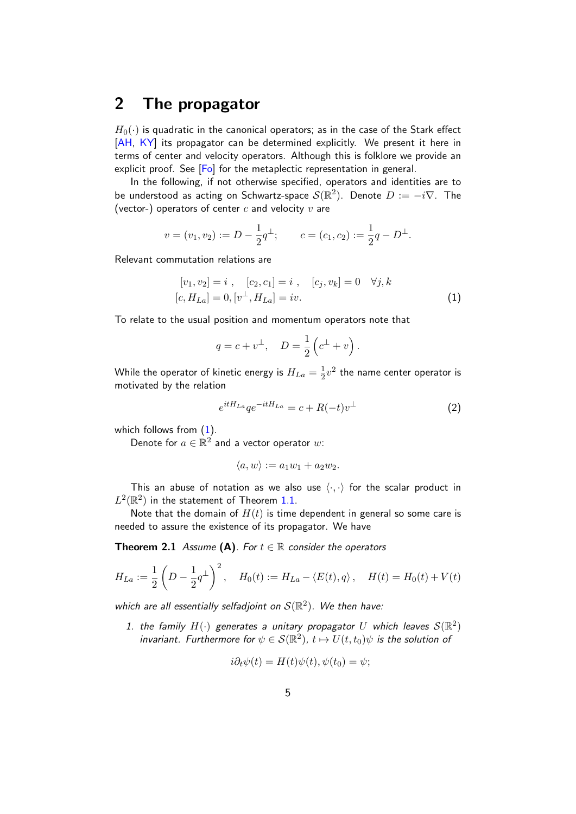## <span id="page-4-1"></span>2 The propagator

 $H_0(\cdot)$  is quadratic in the canonical operators; as in the case of the Stark effect [\[AH,](#page-17-0) [KY\]](#page-18-7) its propagator can be determined explicitly. We present it here in terms of center and velocity operators. Although this is folklore we provide an explicit proof. See [\[Fo\]](#page-18-8) for the metaplectic representation in general.

In the following, if not otherwise specified, operators and identities are to be understood as acting on Schwartz-space  $\mathcal{S}(\mathbb{R}^2)$ . Denote  $D:=-i\nabla.$  The (vector-) operators of center  $c$  and velocity  $v$  are

$$
v = (v_1, v_2) := D - \frac{1}{2}q^{\perp};
$$
  $c = (c_1, c_2) := \frac{1}{2}q - D^{\perp}.$ 

Relevant commutation relations are

<span id="page-4-2"></span>
$$
[v_1, v_2] = i , [c_2, c_1] = i , [c_j, v_k] = 0 \quad \forall j, k
$$
  

$$
[c, H_{La}] = 0, [v^{\perp}, H_{La}] = iv.
$$
 (1)

To relate to the usual position and momentum operators note that

$$
q = c + v^{\perp}, \quad D = \frac{1}{2} (c^{\perp} + v).
$$

While the operator of kinetic energy is  $H_{La}=\frac{1}{2}$  $\frac{1}{2}v^2$  the name center operator is motivated by the relation

<span id="page-4-3"></span>
$$
e^{itH_{La}}qe^{-itH_{La}} = c + R(-t)v^{\perp}
$$
\n<sup>(2)</sup>

which follows from  $(1)$ .

Denote for  $a \in \mathbb{R}^2$  and a vector operator  $w$ :

<span id="page-4-0"></span>
$$
\langle a, w \rangle := a_1 w_1 + a_2 w_2.
$$

This an abuse of notation as we also use  $\langle \cdot, \cdot \rangle$  for the scalar product in  $L^2(\mathbb{R}^2)$  in the statement of Theorem [1.1.](#page-1-0)

Note that the domain of  $H(t)$  is time dependent in general so some care is needed to assure the existence of its propagator. We have

**Theorem 2.1** Assume (A). For  $t \in \mathbb{R}$  consider the operators

$$
H_{La} := \frac{1}{2} \left( D - \frac{1}{2} q^{\perp} \right)^2, \quad H_0(t) := H_{La} - \langle E(t), q \rangle, \quad H(t) = H_0(t) + V(t)
$$

which are all essentially selfadjoint on  $\mathcal{S}(\mathbb{R}^2)$ . We then have:

1. the family  $H(\cdot)$  generates a unitary propagator U which leaves  $\mathcal{S}(\mathbb{R}^2)$ invariant. Furthermore for  $\psi \in \mathcal{S}(\mathbb{R}^2)$ ,  $t \mapsto U(t, t_0)\psi$  is the solution of

$$
i\partial_t \psi(t) = H(t)\psi(t), \psi(t_0) = \psi;
$$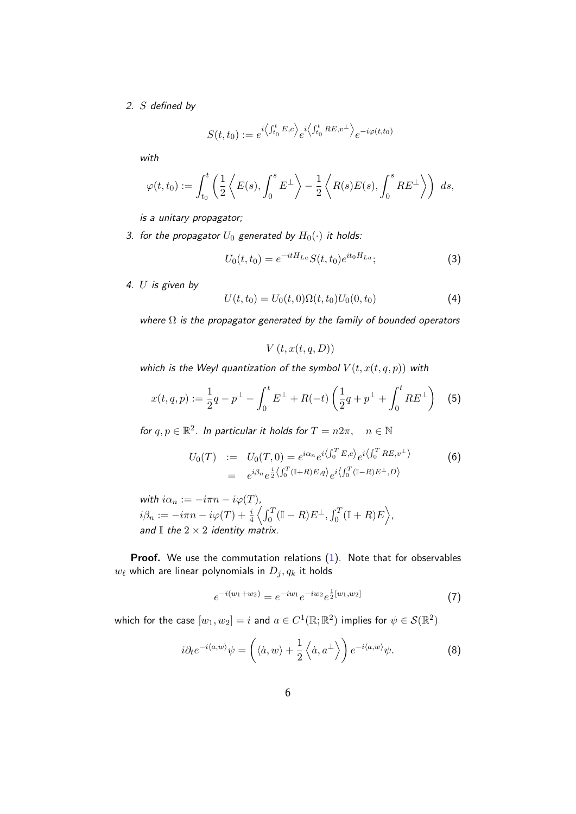### 2. S defined by

$$
S(t,t_0) := e^{i \left\langle \int_{t_0}^t E, c \right\rangle} e^{i \left\langle \int_{t_0}^t RE, v^{\perp} \right\rangle} e^{-i \varphi(t,t_0)}
$$

with

$$
\varphi(t,t_0) := \int_{t_0}^t \left( \frac{1}{2} \left\langle E(s), \int_0^s E^{\perp} \right\rangle - \frac{1}{2} \left\langle R(s)E(s), \int_0^s RE^{\perp} \right\rangle \right) ds,
$$

is a unitary propagator;

3. for the propagator  $U_0$  generated by  $H_0(\cdot)$  it holds:

$$
U_0(t, t_0) = e^{-itH_{La}} S(t, t_0) e^{it_0H_{La}};
$$
\n(3)

<span id="page-5-5"></span>4.  $U$  is given by

<span id="page-5-2"></span>
$$
U(t, t_0) = U_0(t, 0)\Omega(t, t_0)U_0(0, t_0)
$$
\n(4)

where  $\Omega$  is the propagator generated by the family of bounded operators

 $V(t, x(t, q, D))$ 

which is the Weyl quantization of the symbol  $V(t, x(t, q, p))$  with

<span id="page-5-4"></span>
$$
x(t,q,p) := \frac{1}{2}q - p^{\perp} - \int_0^t E^{\perp} + R(-t) \left( \frac{1}{2}q + p^{\perp} + \int_0^t RE^{\perp} \right) \tag{5}
$$

for  $q, p \in \mathbb{R}^2$ . In particular it holds for  $T = n2\pi$ ,  $n \in \mathbb{N}$ 

<span id="page-5-0"></span>
$$
U_0(T) := U_0(T,0) = e^{i\alpha_n} e^{i\langle \int_0^T E,c \rangle} e^{i\langle \int_0^T RE, v^{\perp} \rangle}
$$
(6)  
=  $e^{i\beta_n} e^{\frac{i}{2}\langle \int_0^T (\mathbb{I}+R)E,q \rangle} e^{i\langle \int_0^T (\mathbb{I}-R)E^{\perp},D \rangle}$ 

with  $i\alpha_n := -i\pi n - i\varphi(T)$ ,  $i\beta_n := -i\pi n - i\varphi(T) + \frac{i}{4}\left\langle \int_0^T (\mathbb{I} - R) E^\perp, \int_0^T (\mathbb{I} + R) E \right\rangle,$ and  $\mathbb I$  the  $2\times 2$  identity matrix.

**Proof.** We use the commutation relations  $(1)$ . Note that for observables  $w_{\ell}$  which are linear polynomials in  $D_j, q_k$  it holds

<span id="page-5-3"></span>
$$
e^{-i(w_1+w_2)} = e^{-iw_1}e^{-iw_2}e^{\frac{1}{2}[w_1,w_2]}
$$
\n(7)

which for the case  $[w_1,w_2]=i$  and  $a\in C^1(\mathbb{R};\mathbb{R}^2)$  implies for  $\psi\in\mathcal{S}(\mathbb{R}^2)$ 

<span id="page-5-1"></span>
$$
i\partial_t e^{-i\langle a,w\rangle}\psi = \left(\langle \dot{a},w\rangle + \frac{1}{2}\left\langle \dot{a},a^\perp\right\rangle\right)e^{-i\langle a,w\rangle}\psi.
$$
 (8)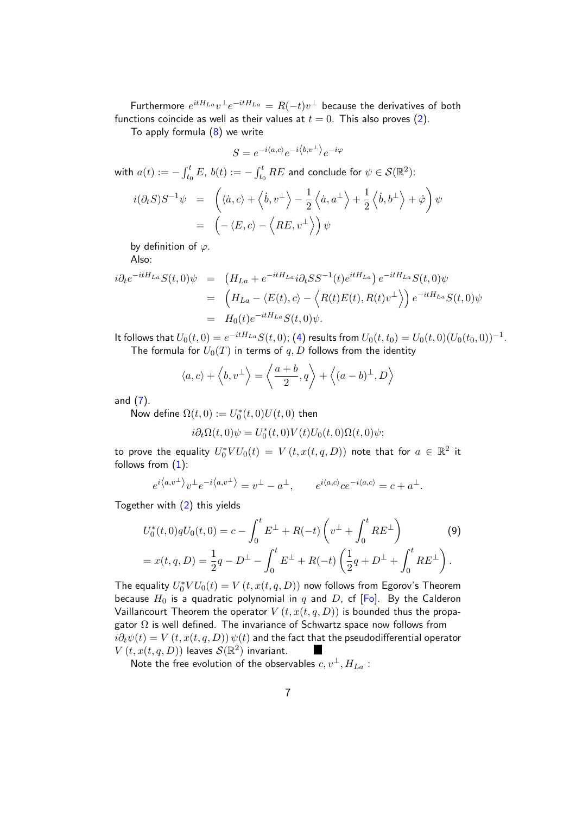Furthermore  $e^{itH_{La}}v^{\perp}e^{-itH_{La}}=R(-t)v^{\perp}$  because the derivatives of both functions coincide as well as their values at  $t = 0$ . This also proves [\(2\)](#page-4-3).

To apply formula  $(8)$  we write

$$
S = e^{-i\langle a,c\rangle}e^{-i\langle b,v^{\perp}\rangle}e^{-i\varphi}
$$

with  $a(t):=-\int_{t_0}^t E,\ b(t):=-\int_{t_0}^t RE$  and conclude for  $\psi\in\mathcal{S}(\mathbb{R}^2)$ :

$$
i(\partial_t S)S^{-1}\psi = \left(\langle \dot{a}, c \rangle + \langle \dot{b}, v^{\perp} \rangle - \frac{1}{2} \langle \dot{a}, a^{\perp} \rangle + \frac{1}{2} \langle \dot{b}, b^{\perp} \rangle + \dot{\varphi} \right) \psi
$$
  
=  $\left(-\langle E, c \rangle - \langle RE, v^{\perp} \rangle \right) \psi$ 

by definition of  $\varphi$ .

Also:

$$
i\partial_t e^{-itH_{La}} S(t,0)\psi = (H_{La} + e^{-itH_{La}} i\partial_t S S^{-1}(t)e^{itH_{La}}) e^{-itH_{La}} S(t,0)\psi
$$
  

$$
= (H_{La} - \langle E(t), c \rangle - \langle R(t)E(t), R(t)v^{\perp} \rangle) e^{-itH_{La}} S(t,0)\psi
$$
  

$$
= H_0(t)e^{-itH_{La}} S(t,0)\psi.
$$

It follows that  $U_0(t,0) = e^{-itH_{La}}S(t,0)$ ; [\(4\)](#page-5-2) results from  $U_0(t,t_0) = U_0(t,0)(U_0(t_0,0))^{-1}$ . The formula for  $U_0(T)$  in terms of  $q, D$  follows from the identity

$$
\langle a, c \rangle + \langle b, v^{\perp} \rangle = \langle \frac{a+b}{2}, q \rangle + \langle (a-b)^{\perp}, D \rangle
$$

and  $(7)$ .

Now define  $\Omega(t,0) := U_0^*(t,0)U(t,0)$  then

$$
i\partial_t \Omega(t,0)\psi = U_0^*(t,0)V(t)U_0(t,0)\Omega(t,0)\psi;
$$

to prove the equality  $U_0^* V U_0(t) \,=\, V\left(t, x(t,q,D) \right)$  note that for  $a \,\in\, \mathbb{R}^2$  it follows from  $(1)$ :

$$
e^{i\langle a,v^\perp\rangle}v^\perp e^{-i\langle a,v^\perp\rangle}=v^\perp-a^\perp,\qquad e^{i\langle a,c\rangle}ce^{-i\langle a,c\rangle}=c+a^\perp.
$$

Together with [\(2\)](#page-4-3) this yields

<span id="page-6-1"></span>
$$
U_0^*(t,0)qU_0(t,0) = c - \int_0^t E^{\perp} + R(-t) \left(v^{\perp} + \int_0^t RE^{\perp}\right)
$$
(9)  
=  $x(t,q,D) = \frac{1}{2}q - D^{\perp} - \int_0^t E^{\perp} + R(-t) \left(\frac{1}{2}q + D^{\perp} + \int_0^t RE^{\perp}\right).$ 

The equality  $U_0^* V U_0(t) = V(t, x(t, q, D))$  now follows from Egorov's Theorem because  $H_0$  is a quadratic polynomial in q and D, cf  $[Fe]$ . By the Calderon Vaillancourt Theorem the operator  $V(t, x(t, q, D))$  is bounded thus the propagator  $\Omega$  is well defined. The invariance of Schwartz space now follows from  $i\partial_t\psi(t) = V(t, x(t, q, D)) \psi(t)$  and the fact that the pseudodifferential operator  $V(t, x(t, q, D))$  leaves  $\mathcal{S}(\mathbb{R}^2)$  invariant.

<span id="page-6-0"></span>Note the free evolution of the observables  $c, v^{\perp}, H_{La}$ :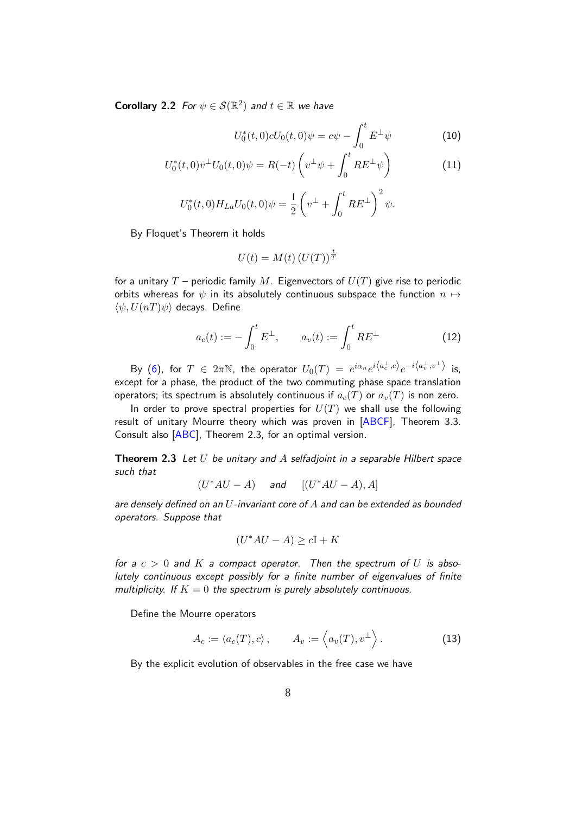**Corollary 2.2** For  $\psi \in \mathcal{S}(\mathbb{R}^2)$  and  $t \in \mathbb{R}$  we have

<span id="page-7-3"></span>
$$
U_0^*(t,0)cU_0(t,0)\psi = c\psi - \int_0^t E^{\perp}\psi \tag{10}
$$

$$
U_0^*(t,0)v^{\perp}U_0(t,0)\psi = R(-t)\left(v^{\perp}\psi + \int_0^t RE^{\perp}\psi\right)
$$
 (11)

$$
U_0^*(t,0)H_{La}U_0(t,0)\psi = \frac{1}{2}\left(v^{\perp} + \int_0^t RE^{\perp}\right)^2\psi.
$$

By Floquet's Theorem it holds

$$
U(t) = M(t) (U(T))^{\frac{t}{T}}
$$

for a unitary  $T$  – periodic family M. Eigenvectors of  $U(T)$  give rise to periodic orbits whereas for  $\psi$  in its absolutely continuous subspace the function  $n \mapsto$  $\langle \psi, U(nT)\psi \rangle$  decays. Define

<span id="page-7-1"></span>
$$
a_c(t) := -\int_0^t E^{\perp}, \qquad a_v(t) := \int_0^t RE^{\perp}
$$
 (12)

By [\(6\)](#page-5-0), for  $T$   $\in$   $2\pi\mathbb{N}$ , the operator  $U_0(T)$   $=$   $e^{i\alpha_n}e^{i\left\langle a^{\perp}_c,c\right\rangle }e^{-i\left\langle a^{\perp}_v,v^{\perp}\right\rangle }$  is, except for a phase, the product of the two commuting phase space translation operators; its spectrum is absolutely continuous if  $a_c(T)$  or  $a_v(T)$  is non zero.

In order to prove spectral properties for  $U(T)$  we shall use the following result of unitary Mourre theory which was proven in [\[ABCF\]](#page-17-1), Theorem 3.3. Consult also [\[ABC\]](#page-17-2), Theorem 2.3, for an optimal version.

<span id="page-7-0"></span>**Theorem 2.3** Let  $U$  be unitary and  $A$  selfadjoint in a separable Hilbert space such that

$$
(U^*AU - A) \quad \text{and} \quad [(U^*AU - A), A]
$$

are densely defined on an  $U$ -invariant core of  $A$  and can be extended as bounded operators. Suppose that

$$
(U^*AU - A) \ge c\mathbb{I} + K
$$

for a  $c > 0$  and K a compact operator. Then the spectrum of U is absolutely continuous except possibly for a finite number of eigenvalues of finite multiplicity. If  $K = 0$  the spectrum is purely absolutely continuous.

Define the Mourre operators

<span id="page-7-2"></span>
$$
A_c := \langle a_c(T), c \rangle, \qquad A_v := \langle a_v(T), v^{\perp} \rangle.
$$
 (13)

<span id="page-7-4"></span>By the explicit evolution of observables in the free case we have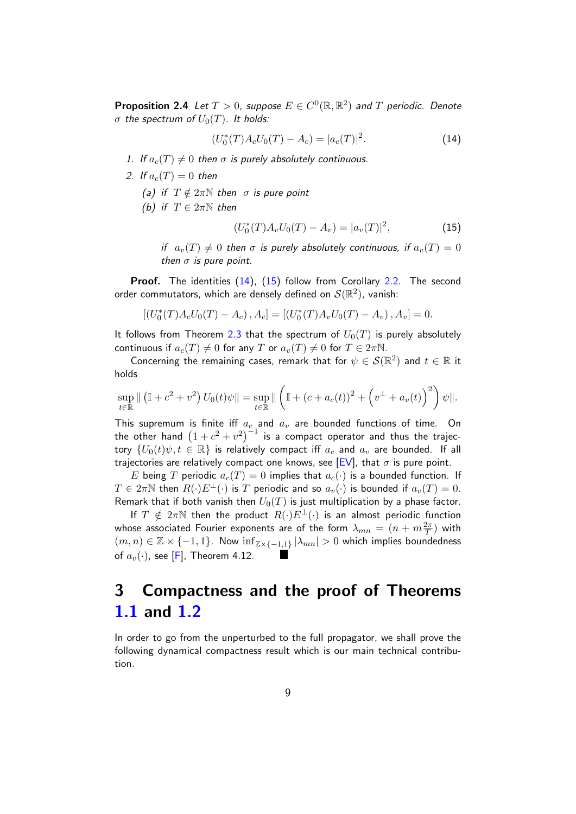**Proposition 2.4** Let  $T > 0$ , suppose  $E \in C^0(\mathbb{R}, \mathbb{R}^2)$  and  $T$  periodic. Denote σ the spectrum of  $U_0(T)$ . It holds:

<span id="page-8-2"></span>
$$
(U_0^*(T)A_cU_0(T) - A_c) = |a_c(T)|^2.
$$
 (14)

- 1. If  $a_c(T) \neq 0$  then  $\sigma$  is purely absolutely continuous.
- 2. If  $a_c(T) = 0$  then
	- (a) if  $T \notin 2\pi \mathbb{N}$  then  $\sigma$  is pure point
	- (b) if  $T \in 2\pi\mathbb{N}$  then

<span id="page-8-3"></span>
$$
(U_0^*(T)A_vU_0(T) - A_v) = |a_v(T)|^2,
$$
\n(15)

if  $a_v(T) \neq 0$  then  $\sigma$  is purely absolutely continuous, if  $a_v(T) = 0$ then  $\sigma$  is pure point.

Proof. The identities [\(14\)](#page-8-2), [\(15\)](#page-8-3) follow from Corollary [2.2.](#page-6-0) The second order commutators, which are densely defined on  $\mathcal{S}(\mathbb{R}^2)$ , vanish:

 $[(U_0^*(T)A_cU_0(T) - A_c), A_c] = [(U_0^*(T)A_vU_0(T) - A_v), A_v] = 0.$ 

It follows from Theorem [2.3](#page-7-0) that the spectrum of  $U_0(T)$  is purely absolutely continuous if  $a_c(T) \neq 0$  for any T or  $a_v(T) \neq 0$  for  $T \in 2\pi\mathbb{N}$ .

Concerning the remaining cases, remark that for  $\psi \in \mathcal{S}(\mathbb{R}^2)$  and  $t \in \mathbb{R}$  it holds

$$
\sup_{t \in \mathbb{R}} \| (\mathbb{I} + c^2 + v^2) U_0(t)\psi \| = \sup_{t \in \mathbb{R}} \| \left( \mathbb{I} + (c + a_c(t))^2 + \left( v^{\perp} + a_v(t) \right)^2 \right) \psi \|.
$$

This supremum is finite iff  $a_c$  and  $a_v$  are bounded functions of time. On the other hand  $(1+c^2+v^2)^{-1}$  is a compact operator and thus the trajectory  $\{U_0(t)\psi, t \in \mathbb{R}\}\$  is relatively compact iff  $a_c$  and  $a_v$  are bounded. If all trajectories are relatively compact one knows, see  $[EV]$ , that  $\sigma$  is pure point.

E being T periodic  $a_c(T) = 0$  implies that  $a_c(\cdot)$  is a bounded function. If  $T \in 2\pi\mathbb{N}$  then  $R(\cdot)E^{\perp}(\cdot)$  is T periodic and so  $a_v(\cdot)$  is bounded if  $a_v(T) = 0$ . Remark that if both vanish then  $U_0(T)$  is just multiplication by a phase factor.

If  $T \notin 2\pi\mathbb{N}$  then the product  $R(\cdot)E^{\perp}(\cdot)$  is an almost periodic function whose associated Fourier exponents are of the form  $\lambda_{mn} = (n + m \frac{2\pi}{T})$  with  $(m, n) \in \mathbb{Z} \times \{-1, 1\}$ . Now  $\inf_{\mathbb{Z} \times \{-1, 1\}} |\lambda_{mn}| > 0$  which implies boundedness of  $a_v(\cdot)$ , see [\[F\]](#page-18-9), Theorem 4.12.

# <span id="page-8-0"></span>3 Compactness and the proof of Theorems [1.1](#page-1-0) and [1.2](#page-2-0)

<span id="page-8-1"></span>In order to go from the unperturbed to the full propagator, we shall prove the following dynamical compactness result which is our main technical contribution.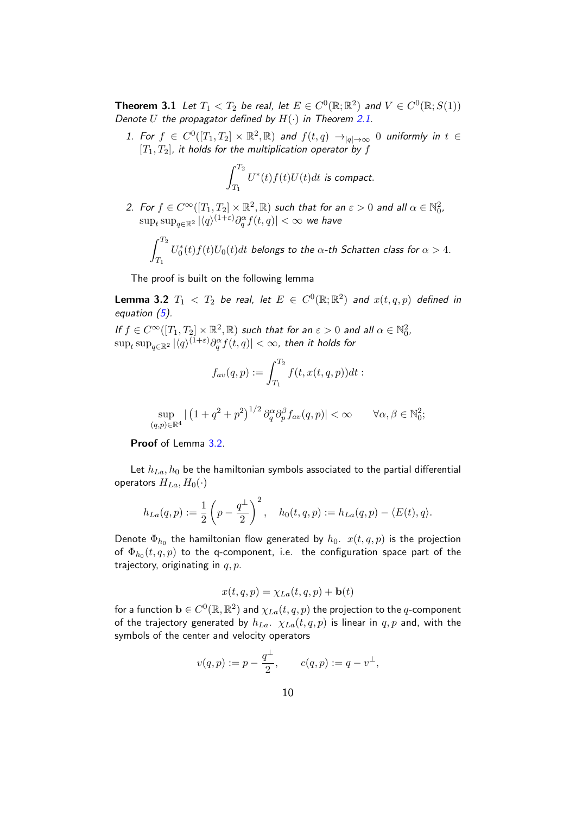**Theorem 3.1** Let  $T_1 < T_2$  be real, let  $E \in C^0(\mathbb{R}; \mathbb{R}^2)$  and  $V \in C^0(\mathbb{R}; S(1))$ Denote U the propagator defined by  $H(\cdot)$  in Theorem [2.1.](#page-4-0)

1. For  $f \in C^0([T_1, T_2] \times \mathbb{R}^2, \mathbb{R})$  and  $f(t, q) \to_{|q| \to \infty} 0$  uniformly in  $t \in$  $[T_1, T_2]$ , it holds for the multiplication operator by f

$$
\int_{T_1}^{T_2} U^*(t) f(t) U(t) dt
$$
 is compact.

2. For  $f \in C^\infty([T_1,T_2]\times \mathbb{R}^2,\mathbb{R})$  such that for an  $\varepsilon > 0$  and all  $\alpha \in \mathbb{N}_0^2$ ,  $\sup_t \sup_{q \in \mathbb{R}^2} |\langle q \rangle^{(1+\varepsilon)} \partial^\alpha_q f(t,q)| < \infty$  we have

$$
\int_{T_1}^{T_2} U_0^*(t) f(t) U_0(t) dt
$$
 belongs to the  $\alpha$ -th Schatten class for  $\alpha > 4$ .

The proof is built on the following lemma

<span id="page-9-0"></span>**Lemma 3.2**  $T_1 < T_2$  be real, let  $E \in C^0(\mathbb{R}; \mathbb{R}^2)$  and  $x(t, q, p)$  defined in equation  $(5)$ .

If  $f \in C^{\infty}([T_1, T_2] \times \mathbb{R}^2, \mathbb{R})$  such that for an  $\varepsilon > 0$  and all  $\alpha \in \mathbb{N}_0^2$ ,  $\sup_t \sup_{q \in \mathbb{R}^2} |\langle q \rangle^{(1+\varepsilon)} \partial^\alpha_q f(t,q)| < \infty$ , then it holds for

$$
f_{av}(q,p) := \int_{T_1}^{T_2} f(t, x(t, q, p)) dt :
$$

$$
\sup_{(q,p)\in\mathbb{R}^4} \left| \left( 1 + q^2 + p^2 \right)^{1/2} \partial_q^{\alpha} \partial_p^{\beta} f_{av}(q,p) \right| < \infty \qquad \forall \alpha, \beta \in \mathbb{N}_0^2;
$$

Proof of Lemma [3.2.](#page-9-0)

Let  $h_{La}, h_0$  be the hamiltonian symbols associated to the partial differential operators  $H_{La}$ ,  $H_0(\cdot)$ 

$$
h_{La}(q,p) := \frac{1}{2}\left(p - \frac{q^{\perp}}{2}\right)^2, \quad h_0(t,q,p) := h_{La}(q,p) - \langle E(t), q \rangle.
$$

Denote  $\Phi_{h_0}$  the hamiltonian flow generated by  $h_0$ .  $x(t, q, p)$  is the projection of  $\Phi_{h_0}(t,q,p)$  to the q-component, i.e. the configuration space part of the trajectory, originating in  $q, p$ .

$$
x(t,q,p) = \chi_{La}(t,q,p) + \mathbf{b}(t)
$$

for a function  $\mathbf{b}\in C^0(\mathbb{R},\mathbb{R}^2)$  and  $\chi_{La}(t,q,p)$  the projection to the  $q$ -component of the trajectory generated by  $h_{La}$ .  $\chi_{La}(t, q, p)$  is linear in  $q, p$  and, with the symbols of the center and velocity operators

$$
v(q,p):=p-\frac{q^\perp}{2},\qquad c(q,p):=q-v^\perp,
$$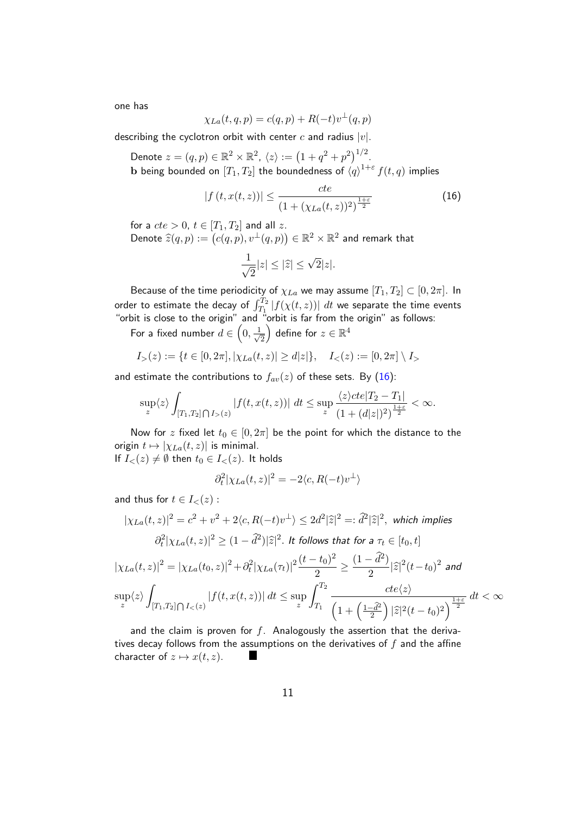one has

$$
\chi_{La}(t,q,p) = c(q,p) + R(-t)v^{\perp}(q,p)
$$

describing the cyclotron orbit with center  $c$  and radius  $|v|$ .

Denote  $z = (q, p) \in \mathbb{R}^2 \times \mathbb{R}^2$ ,  $\langle z \rangle := \left(1 + q^2 + p^2\right)^{1/2}$ .

 $\mathbf b$  being bounded on  $[T_1,T_2]$  the boundedness of  $\left\langle q\right\rangle ^{1+\varepsilon }f(t,q)$  implies

<span id="page-10-0"></span>
$$
|f(t, x(t, z))| \le \frac{cte}{(1 + (\chi_{La}(t, z))^2)^{\frac{1+\varepsilon}{2}}} \tag{16}
$$

for a  $cte > 0$ ,  $t \in [T_1, T_2]$  and all z.

Denote  $\widehat{z}(q,p) := (c(q,p), v^\perp(q,p)) \in \mathbb{R}^2 \times \mathbb{R}^2$  and remark that

$$
\frac{1}{\sqrt{2}}|z|\leq |\widehat{z}|\leq \sqrt{2}|z|.
$$

Because of the time periodicity of  $\chi_{La}$  we may assume  $[T_1, T_2] \subset [0, 2\pi]$ . In order to estimate the decay of  $\int_{T_1}^{T_2} |f(\chi(t,z))| \; dt$  we separate the time events "orbit is close to the origin" and "orbit is far from the origin" as follows:

For a fixed number  $d \in \left(0, \frac{1}{d}\right)$ 2 ) define for  $z\in\mathbb{R}^4$ 

$$
I_{>}(z) := \{ t \in [0, 2\pi], |\chi_{La}(t, z)| \ge d|z| \}, \quad I_{<}(z) := [0, 2\pi] \setminus I_{>
$$

and estimate the contributions to  $f_{av}(z)$  of these sets. By [\(16\)](#page-10-0):

$$
\sup_{z} \langle z \rangle \int_{[T_1, T_2] \bigcap I_{>}(z)} |f(t, x(t, z))| dt \le \sup_{z} \frac{\langle z \rangle c t e |T_2 - T_1|}{(1 + (d|z|)^2)^{\frac{1 + \varepsilon}{2}}} < \infty.
$$

Now for z fixed let  $t_0 \in [0, 2\pi]$  be the point for which the distance to the origin  $t \mapsto |\chi_{La}(t, z)|$  is minimal.

If  $I_{<}(z) \neq \emptyset$  then  $t_0 \in I_{<}(z)$ . It holds

$$
\partial_t^2 |\chi_{La}(t,z)|^2 = -2\langle c, R(-t)v^{\perp} \rangle
$$

and thus for  $t \in I_{\leq}(z)$ :

$$
|\chi_{La}(t,z)|^2 = c^2 + v^2 + 2\langle c, R(-t)v^{\perp} \rangle \le 2d^2|\hat{z}|^2 =: \hat{d}^2|\hat{z}|^2, \text{ which implies}
$$

$$
\partial_t^2 |\chi_{La}(t,z)|^2 \ge (1 - \hat{d}^2)|\hat{z}|^2. \text{ It follows that for a } \tau_t \in [t_0, t]
$$

$$
|\chi_{La}(t,z)|^2 = |\chi_{La}(t_0,z)|^2 + \partial_t^2 |\chi_{La}(\tau_t)|^2 \frac{(t-t_0)^2}{2} \ge \frac{(1-\tilde{d}^2)}{2} |\tilde{z}|^2 (t-t_0)^2 \text{ and}
$$
  
\n
$$
\sup_z \langle z \rangle \int_{[T_1,T_2] \bigcap I_{<}(z)} |f(t,x(t,z))| \, dt \le \sup_z \int_{T_1}^{T_2} \frac{cte\langle z \rangle}{\left(1 + \left(\frac{1-\tilde{d}^2}{2}\right) |\tilde{z}|^2 (t-t_0)^2\right)^{\frac{1+\varepsilon}{2}}} \, dt < \infty
$$

and the claim is proven for  $f$ . Analogously the assertion that the derivatives decay follows from the assumptions on the derivatives of  $f$  and the affine character of  $z \mapsto x(t, z)$ .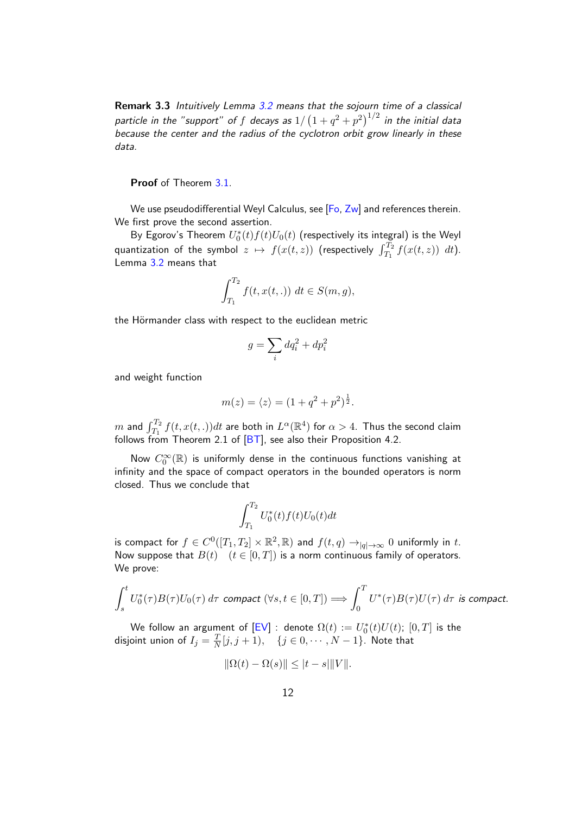Remark 3.3 Intuitively Lemma [3.2](#page-9-0) means that the sojourn time of a classical particle in the "support" of  $f$  decays as  $1/\left(1+q^2+p^2\right)^{1/2}$  in the initial data because the center and the radius of the cyclotron orbit grow linearly in these data.

Proof of Theorem [3.1.](#page-8-1)

We use pseudodifferential Weyl Calculus, see [\[Fo,](#page-18-8) [Zw\]](#page-18-10) and references therein. We first prove the second assertion.

By Egorov's Theorem  $U_0^*(t)f(t)U_0(t)$  (respectively its integral) is the Weyl quantization of the symbol  $z \mapsto f(x(t, z))$  (respectively  $\int_{T_1}^{T_2} f(x(t, z)) dt$ ). Lemma [3.2](#page-9-0) means that

$$
\int_{T_1}^{T_2} f(t, x(t, .)) dt \in S(m, g),
$$

the Hörmander class with respect to the euclidean metric

$$
g = \sum_i dq_i^2 + dp_i^2
$$

and weight function

$$
m(z) = \langle z \rangle = (1 + q^2 + p^2)^{\frac{1}{2}}.
$$

 $m$  and  $\int_{T_1}^{T_2} f(t,x(t,.)) dt$  are both in  $L^{\alpha}(\mathbb{R}^4)$  for  $\alpha > 4$ . Thus the second claim follows from Theorem 2.1 of  $[BT]$ , see also their Proposition 4.2.

Now  $C_0^{\infty}(\mathbb{R})$  is uniformly dense in the continuous functions vanishing at infinity and the space of compact operators in the bounded operators is norm closed. Thus we conclude that

$$
\int_{T_1}^{T_2} U_0^*(t) f(t) U_0(t) dt
$$

is compact for  $f\in C^0([T_1,T_2]\times \mathbb{R}^2,\mathbb{R})$  and  $f(t,q)\to_{|q|\to\infty} 0$  uniformly in  $t.$ Now suppose that  $B(t)$   $(t \in [0, T])$  is a norm continuous family of operators. We prove:

$$
\int_s^t U_0^*(\tau)B(\tau)U_0(\tau) d\tau \text{ compact } (\forall s, t \in [0, T]) \Longrightarrow \int_0^T U^*(\tau)B(\tau)U(\tau) d\tau \text{ is compact.}
$$

We follow an argument of  $[\textsf{EV}]$  : denote  $\Omega(t) := U_0^*(t) U(t)$ ;  $[0,T]$  is the disjoint union of  $I_j = \frac{T}{\Delta}$  $\frac{T}{N}[j,j+1), \quad \{j \in 0, \cdots, N-1\}.$  Note that

$$
\|\Omega(t) - \Omega(s)\| \le |t - s| \|V\|.
$$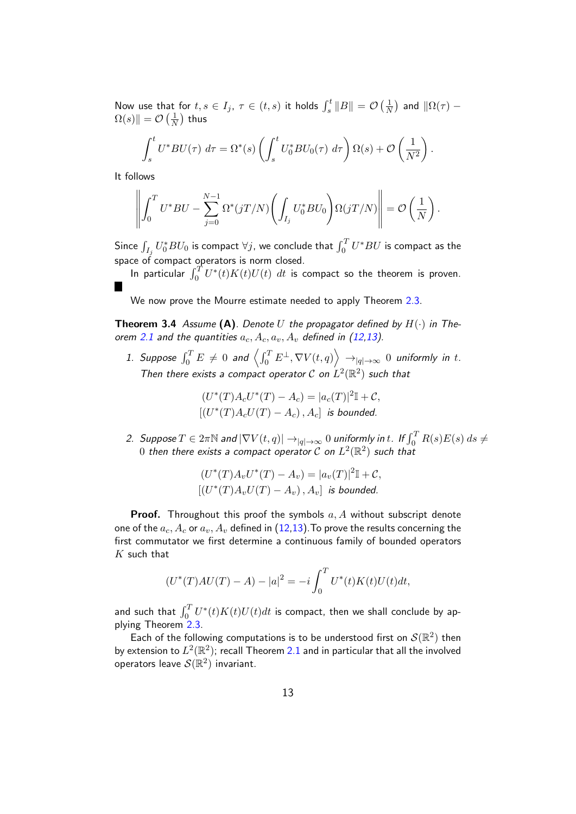Now use that for  $t, s \in I_j$ ,  $\tau \in (t, s)$  it holds  $\int_s^t \|B\| = \mathcal{O}(\frac{1}{\Lambda})$  $\frac{1}{N}$ ) and  $\|\Omega(\tau) \Omega(s)\| = \mathcal{O}\left(\frac{1}{\lambda}\right)$  $\frac{1}{N} )$  thus

$$
\int_s^t U^* B U(\tau) \ d\tau = \Omega^*(s) \left( \int_s^t U_0^* B U_0(\tau) \ d\tau \right) \Omega(s) + \mathcal{O}\left(\frac{1}{N^2}\right).
$$

It follows

$$
\left\| \int_0^T U^* B U - \sum_{j=0}^{N-1} \Omega^*(jT/N) \left( \int_{I_j} U_0^* B U_0 \right) \Omega(jT/N) \right\| = \mathcal{O}\left(\frac{1}{N}\right).
$$

Since  $\int_{I_j} U_0^* B U_0$  is compact  $\forall j$ , we conclude that  $\int_0^T U^* B U$  is compact as the space of compact operators is norm closed.

In particular  $\int_0^T U^*(t)K(t)U(t)$   $dt$  is compact so the theorem is proven.

We now prove the Mourre estimate needed to apply Theorem [2.3.](#page-7-0)

<span id="page-12-0"></span>**Theorem 3.4** Assume (A). Denote U the propagator defined by  $H(\cdot)$  in The-orem [2.1](#page-4-0) and the quantities  $a_c$ ,  $A_c$ ,  $a_v$ ,  $A_v$  defined in [\(12,](#page-7-1)[13\)](#page-7-2).

1. Suppose  $\int_0^T E\,\neq\, 0$  and  $\left\langle \int_0^T E^\perp, \nabla V(t,q) \right\rangle\,\to_{|q|\to\infty}\, 0$  uniformly in t. Then there exists a compact operator  $\mathcal C$  on  $L^2(\mathbb R^2)$  such that

$$
(U^*(T)A_cU^*(T) - A_c) = |a_c(T)|^2 \mathbb{I} + C,
$$
  
 
$$
[(U^*(T)A_cU(T) - A_c), A_c] \text{ is bounded.}
$$

2. Suppose  $T \in 2\pi\mathbb{N}$  and  $|\nabla V(t,q)| \to_{|q| \to \infty} 0$  uniformly in t. If  $\int_0^T R(s) E(s) \, ds \neq 0$  $0$  then there exists a compact operator  ${\cal C}$  on  $L^2({\mathbb R}^2)$  such that

$$
(U^*(T)A_vU^*(T) - A_v) = |a_v(T)|^2 \mathbb{I} + C,
$$
  
 
$$
[(U^*(T)A_vU(T) - A_v), A_v] \text{ is bounded.}
$$

**Proof.** Throughout this proof the symbols  $a, A$  without subscript denote one of the  $a_c$ ,  $A_c$  or  $a_v$ ,  $A_v$  defined in [\(12](#page-7-1)[,13\)](#page-7-2). To prove the results concerning the first commutator we first determine a continuous family of bounded operators  $K$  such that

$$
(U^*(T)AU(T) - A) - |a|^2 = -i \int_0^T U^*(t)K(t)U(t)dt,
$$

and such that  $\int_0^T U^*(t)K(t)U(t)dt$  is compact, then we shall conclude by applying Theorem [2.3.](#page-7-0)

Each of the following computations is to be understood first on  $\mathcal{S}(\mathbb{R}^2)$  then by extension to  $L^2(\mathbb{R}^2)$ ; recall Theorem [2.1](#page-4-0) and in particular that all the involved operators leave  $\mathcal S(\mathbb R^2)$  invariant.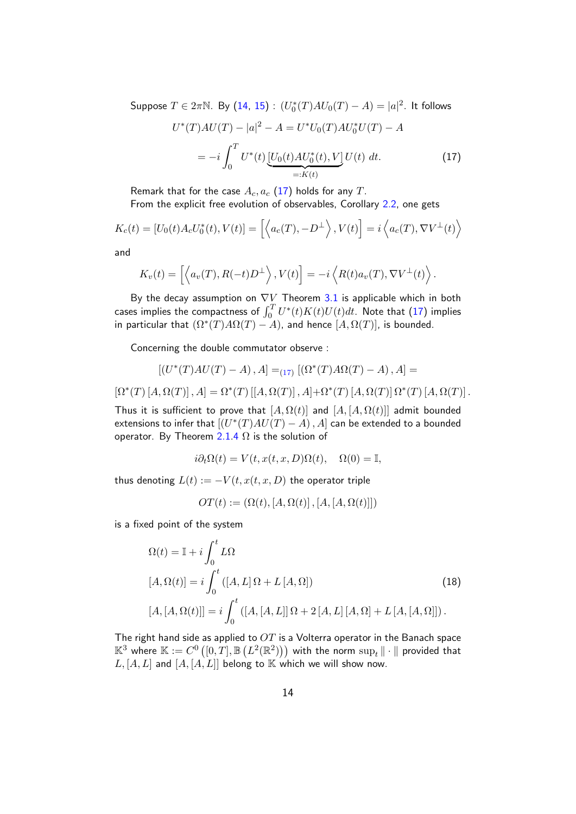Suppose  $T \in 2\pi\mathbb{N}$ . By  $(14, 15)$  $(14, 15)$  $(14, 15)$  :  $(U_0^*(T)AU_0(T) - A) = |a|^2$ . It follows

<span id="page-13-0"></span>
$$
U^*(T)AU(T) - |a|^2 - A = U^*U_0(T)AU_0^*U(T) - A
$$
  
= 
$$
-i\int_0^T U^*(t) \underbrace{[U_0(t)AU_0^*(t),V]}_{=:K(t)} U(t) dt.
$$
 (17)

Remark that for the case  $A_c$ ,  $a_c$  [\(17\)](#page-13-0) holds for any T. From the explicit free evolution of observables, Corollary [2.2,](#page-6-0) one gets

$$
K_c(t) = [U_0(t)A_c U_0^*(t), V(t)] = \left[ \left\langle a_c(T), -D^{\perp} \right\rangle, V(t) \right] = i \left\langle a_c(T), \nabla V^{\perp}(t) \right\rangle
$$

and

$$
K_v(t) = \left[ \left\langle a_v(T), R(-t)D^{\perp} \right\rangle, V(t) \right] = -i \left\langle R(t)a_v(T), \nabla V^{\perp}(t) \right\rangle.
$$

By the decay assumption on  $\nabla V$  Theorem [3.1](#page-8-1) is applicable which in both cases implies the compactness of  $\int_0^T U^*(t)K(t)U(t)dt$ . Note that  $(17)$  implies in particular that  $(\Omega^*(T)A\Omega(T) - A)$ , and hence  $[A, \Omega(T)]$ , is bounded.

Concerning the double commutator observe :

$$
\left[\left(U^*(T)AU(T)-A\right),A\right]=_{(17)}\left[\left(\Omega^*(T)A\Omega(T)-A\right),A\right]=
$$

 $\left[\Omega^*(T)[A,\Omega(T)],A\right]=\Omega^*(T)[[A,\Omega(T)],A]+\Omega^*(T)[A,\Omega(T)]\Omega^*(T)[A,\Omega(T)].$ 

Thus it is sufficient to prove that  $[A, \Omega(t)]$  and  $[A, [A, \Omega(t)]]$  admit bounded extensions to infer that  $[(U^*(T)AU(T) - A), A]$  can be extended to a bounded operator. By Theorem  $2.1.4 \Omega$  $2.1.4 \Omega$  $2.1.4 \Omega$  is the solution of

$$
i\partial_t\Omega(t) = V(t, x(t, x, D)\Omega(t), \quad \Omega(0) = \mathbb{I},
$$

thus denoting  $L(t) := -V(t, x(t, x, D))$  the operator triple

$$
OT(t) := \left( \Omega(t), [A, \Omega(t)], [A, [A, \Omega(t)] \right)
$$

is a fixed point of the system

$$
\Omega(t) = \mathbb{I} + i \int_0^t L\Omega
$$
  
\n
$$
[A, \Omega(t)] = i \int_0^t ([A, L] \Omega + L [A, \Omega])
$$
  
\n
$$
[A, [A, \Omega(t)]] = i \int_0^t ([A, [A, L]] \Omega + 2 [A, L] [A, \Omega] + L [A, [A, \Omega]]).
$$
\n(18)

The right hand side as applied to  $OT$  is a Volterra operator in the Banach space  $\mathbb{K}^3$  where  $\mathbb{K}:=C^0\left([0,T],\mathbb{B}\left(L^2(\mathbb{R}^2)\right)\right)$  with the norm  $\sup_t\|\cdot\|$  provided that  $L, [A, L]$  and  $[A, [A, L]]$  belong to  $\mathbb K$  which we will show now.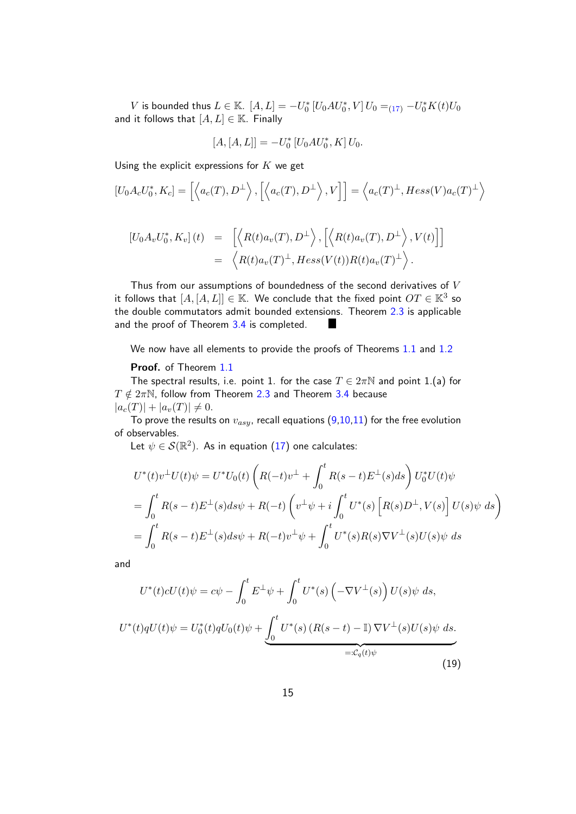$V$  is bounded thus  $L \in \mathbb{K}$ .  $[A, L] = -U_0^* [U_0 A U_0^*, V] U_0 =_{(17)} -U_0^* K(t) U_0$  $[A, L] = -U_0^* [U_0 A U_0^*, V] U_0 =_{(17)} -U_0^* K(t) U_0$  $[A, L] = -U_0^* [U_0 A U_0^*, V] U_0 =_{(17)} -U_0^* K(t) U_0$ and it follows that  $[A, L] \in \mathbb{K}$ . Finally

$$
[A,[A,L]] = -U_0^* [U_0 A U_0^*, K] U_0.
$$

Using the explicit expressions for  $K$  we get

$$
[U_0 A_c U_0^*, K_c] = \left[ \left\langle a_c(T), D^{\perp} \right\rangle, \left[ \left\langle a_c(T), D^{\perp} \right\rangle, V \right] \right] = \left\langle a_c(T)^{\perp}, Hess(V) a_c(T)^{\perp} \right\rangle
$$

$$
\begin{array}{rcl}\n[U_0 A_v U_0^*, K_v](t) & = & \left[ \left\langle R(t) a_v(T), D^\perp \right\rangle, \left[ \left\langle R(t) a_v(T), D^\perp \right\rangle, V(t) \right] \right] \\
& = & \left\langle R(t) a_v(T)^\perp, Hess(V(t)) R(t) a_v(T)^\perp \right\rangle.\n\end{array}
$$

Thus from our assumptions of boundedness of the second derivatives of  $V$ it follows that  $[A,[A,L]] \in \mathbb{K}$ . We conclude that the fixed point  $OT \in \mathbb{K}^3$  so the double commutators admit bounded extensions. Theorem [2.3](#page-7-0) is applicable and the proof of Theorem [3.4](#page-12-0) is completed. 

We now have all elements to provide the proofs of Theorems [1.1](#page-1-0) and [1.2](#page-2-0)

#### Proof. of Theorem [1.1](#page-1-0)

The spectral results, i.e. point 1. for the case  $T \in 2\pi\mathbb{N}$  and point 1.(a) for  $T \notin 2\pi\mathbb{N}$ , follow from Theorem [2.3](#page-7-0) and Theorem [3.4](#page-12-0) because  $|a_c(T)| + |a_v(T)| \neq 0.$ 

To prove the results on  $v_{asy}$ , recall equations [\(9](#page-6-1)[,10,11\)](#page-7-3) for the free evolution of observables.

Let  $\psi \in \mathcal{S}(\mathbb{R}^2)$ . As in equation  $(17)$  one calculates:

$$
U^*(t)v^{\perp}U(t)\psi = U^*U_0(t)\left(R(-t)v^{\perp} + \int_0^t R(s-t)E^{\perp}(s)ds\right)U_0^*U(t)\psi
$$
  
= 
$$
\int_0^t R(s-t)E^{\perp}(s)ds\psi + R(-t)\left(v^{\perp}\psi + i\int_0^t U^*(s)\left[R(s)D^{\perp}, V(s)\right]U(s)\psi ds\right)
$$
  
= 
$$
\int_0^t R(s-t)E^{\perp}(s)ds\psi + R(-t)v^{\perp}\psi + \int_0^t U^*(s)R(s)\nabla V^{\perp}(s)U(s)\psi ds
$$

and

$$
U^*(t)cU(t)\psi = c\psi - \int_0^t E^{\perp}\psi + \int_0^t U^*(s)\left(-\nabla V^{\perp}(s)\right)U(s)\psi ds,
$$
  

$$
U^*(t)qU(t)\psi = U_0^*(t)qU_0(t)\psi + \underbrace{\int_0^t U^*(s)\left(R(s-t) - \mathbb{I}\right)\nabla V^{\perp}(s)U(s)\psi ds}_{=:C_q(t)\psi}.
$$
\n(19)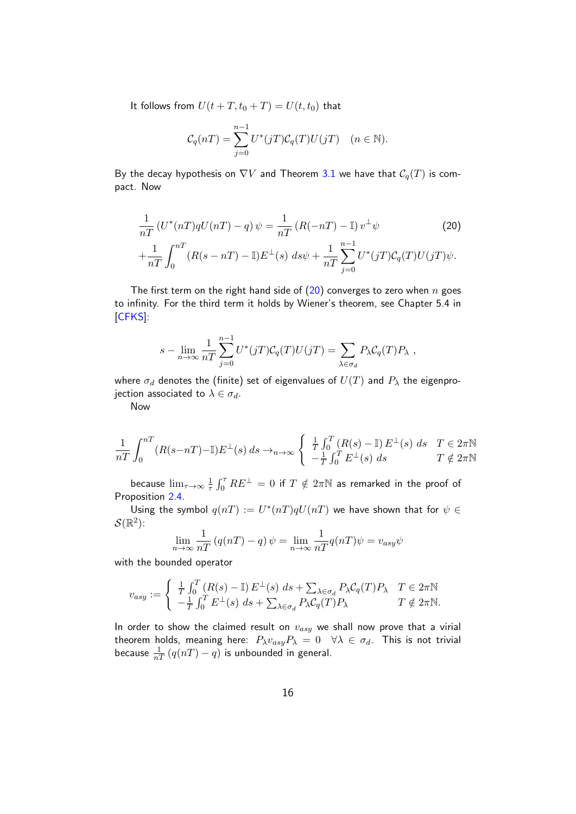It follows from  $U(t+T,t_0+T)=U(t,t_0)$  that

$$
\mathcal{C}_q(nT)=\sum_{j=0}^{n-1}U^*(jT)\mathcal{C}_q(T)U(jT)\quad(n\in\mathbb{N}).
$$

By the decay hypothesis on  $\nabla V$  and Theorem [3.1](#page-8-1) we have that  $\mathcal{C}_q(T)$  is compact. Now

<span id="page-15-0"></span>
$$
\frac{1}{nT} \left( U^*(nT)qU(nT) - q \right) \psi = \frac{1}{nT} \left( R(-nT) - \mathbb{I} \right) v^{\perp} \psi \tag{20}
$$
\n
$$
+ \frac{1}{nT} \int_0^{nT} \left( R(s - nT) - \mathbb{I} \right) E^{\perp}(s) \, ds \psi + \frac{1}{nT} \sum_{j=0}^{n-1} U^*(jT) \mathcal{C}_q(T) U(jT) \psi.
$$

The first term on the right hand side of  $(20)$  converges to zero when n goes to infinity. For the third term it holds by Wiener's theorem, see Chapter 5.4 in [\[CFKS\]](#page-18-12):

$$
s - \lim_{n \to \infty} \frac{1}{nT} \sum_{j=0}^{n-1} U^*(jT) \mathcal{C}_q(T) U(jT) = \sum_{\lambda \in \sigma_d} P_{\lambda} \mathcal{C}_q(T) P_{\lambda} ,
$$

where  $\sigma_d$  denotes the (finite) set of eigenvalues of  $U(T)$  and  $P_\lambda$  the eigenprojection associated to  $\lambda \in \sigma_d$ .

Now

$$
\frac{1}{nT} \int_0^{nT} (R(s - nT) - \mathbb{I}) E^{\perp}(s) ds \to_{n \to \infty} \begin{cases} \frac{1}{T} \int_0^T (R(s) - \mathbb{I}) E^{\perp}(s) ds & T \in 2\pi \mathbb{N} \\ -\frac{1}{T} \int_0^T E^{\perp}(s) ds & T \notin 2\pi \mathbb{N} \end{cases}
$$

because  $\lim_{\tau\to\infty}\frac{1}{\tau}$  $\frac{1}{\tau}\int_0^\tau RE^\bot\,=\,0$  if  $T\notin 2\pi\mathbb{N}$  as remarked in the proof of Proposition [2.4.](#page-7-4)

Using the symbol  $q(nT) := U^*(nT)qU(nT)$  we have shown that for  $\psi \in$  $\mathcal S(\mathbb R^2)$ :

$$
\lim_{n \to \infty} \frac{1}{nT} \left( q(nT) - q \right) \psi = \lim_{n \to \infty} \frac{1}{nT} q(nT) \psi = v_{asy} \psi
$$

with the bounded operator

$$
v_{asy} := \begin{cases} \frac{1}{T} \int_0^T (R(s) - \mathbb{I}) E^{\perp}(s) \, ds + \sum_{\lambda \in \sigma_d} P_{\lambda} C_q(T) P_{\lambda} & T \in 2\pi \mathbb{N} \\ -\frac{1}{T} \int_0^T E^{\perp}(s) \, ds + \sum_{\lambda \in \sigma_d} P_{\lambda} C_q(T) P_{\lambda} & T \notin 2\pi \mathbb{N}. \end{cases}
$$

In order to show the claimed result on  $v_{asy}$  we shall now prove that a virial theorem holds, meaning here:  $P_{\lambda}v_{asy}P_{\lambda} = 0 \quad \forall \lambda \in \sigma_d$ . This is not trivial because  $\frac{1}{nT}\left(q(nT)-q\right)$  is unbounded in general.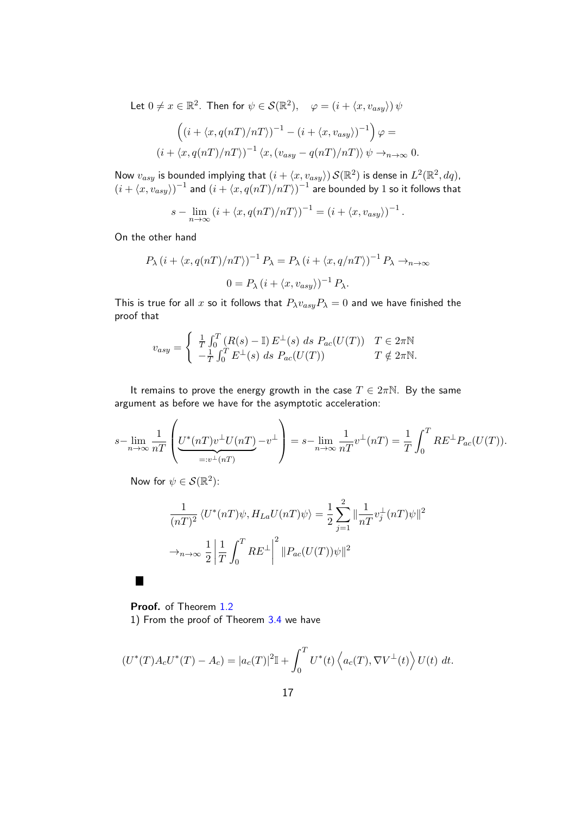Let  $0 \neq x \in \mathbb{R}^2$ . Then for  $\psi \in \mathcal{S}(\mathbb{R}^2)$ ,  $\varphi = (i + \langle x, v_{asy} \rangle) \psi$ 

$$
\left( (i + \langle x, q(nT)/nT \rangle)^{-1} - (i + \langle x, v_{asy} \rangle)^{-1} \right) \varphi =
$$
  

$$
(i + \langle x, q(nT)/nT \rangle)^{-1} \langle x, (v_{asy} - q(nT)/nT) \rangle \psi \to_{n \to \infty} 0.
$$

Now  $v_{asy}$  is bounded implying that  $(i + \langle x, v_{asy} \rangle)$   $\mathcal{S}(\mathbb{R}^2)$  is dense in  $L^2(\mathbb{R}^2,dq)$ ,  $(i + \langle x, v_{asy}\rangle)^{-1}$  and  $(i + \langle x, q(nT)/nT\rangle)^{-1}$  are bounded by 1 so it follows that

$$
s - \lim_{n \to \infty} \left( i + \langle x, q(nT)/nT \rangle \right)^{-1} = \left( i + \langle x, v_{asy} \rangle \right)^{-1}.
$$

On the other hand

$$
P_{\lambda} (i + \langle x, q(nT)/nT \rangle)^{-1} P_{\lambda} = P_{\lambda} (i + \langle x, q/nT \rangle)^{-1} P_{\lambda} \to_{n \to \infty}
$$
  

$$
0 = P_{\lambda} (i + \langle x, v_{asy} \rangle)^{-1} P_{\lambda}.
$$

This is true for all x so it follows that  $P_{\lambda}v_{asy}P_{\lambda}=0$  and we have finished the proof that

$$
v_{asy} = \begin{cases} \frac{1}{T} \int_0^T (R(s) - \mathbb{I}) E^{\perp}(s) ds P_{ac}(U(T)) & T \in 2\pi\mathbb{N} \\ -\frac{1}{T} \int_0^T E^{\perp}(s) ds P_{ac}(U(T)) & T \notin 2\pi\mathbb{N}. \end{cases}
$$

It remains to prove the energy growth in the case  $T \in 2\pi\mathbb{N}$ . By the same argument as before we have for the asymptotic acceleration:

$$
s-\lim_{n\to\infty}\frac{1}{nT}\left(\underbrace{U^*(nT)v^{\perp}U(nT)}_{=:v^{\perp}(nT)}-v^{\perp}\right)=s-\lim_{n\to\infty}\frac{1}{nT}v^{\perp}(nT)=\frac{1}{T}\int_0^T RE^{\perp}P_{ac}(U(T)).
$$

Now for  $\psi \in \mathcal{S}(\mathbb{R}^2)$ :

 $\blacksquare$ 

$$
\frac{1}{(nT)^2} \langle U^*(nT)\psi, H_{La}U(nT)\psi \rangle = \frac{1}{2} \sum_{j=1}^2 \|\frac{1}{nT}v_j^{\perp}(nT)\psi\|^2
$$

$$
\to_{n\to\infty} \frac{1}{2} \left| \frac{1}{T} \int_0^T RE^{\perp} \right|^2 \|P_{ac}(U(T))\psi\|^2
$$

Proof. of Theorem [1.2](#page-2-0) 1) From the proof of Theorem [3.4](#page-12-0) we have

$$
(U^*(T)A_cU^*(T) - A_c) = |a_c(T)|^2 \mathbb{I} + \int_0^T U^*(t) \left\langle a_c(T), \nabla V^{\perp}(t) \right\rangle U(t) dt.
$$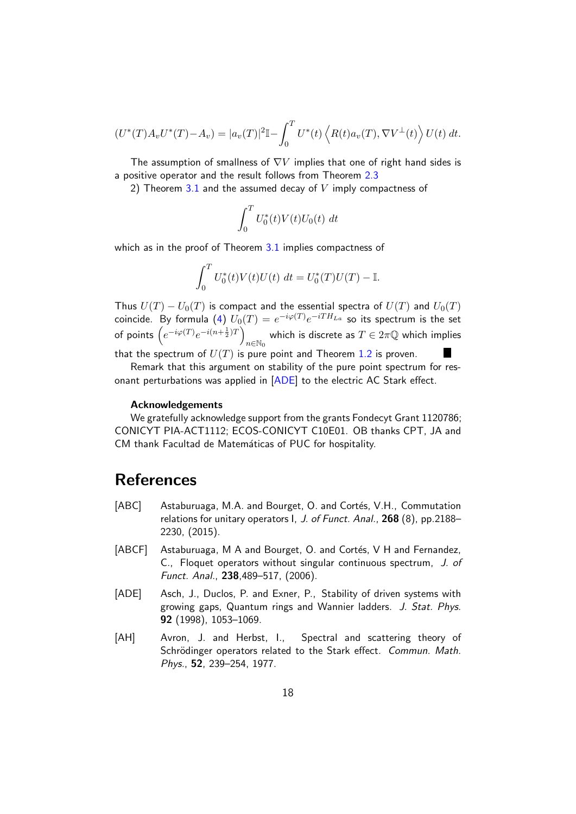$$
(U^*(T)A_vU^*(T) - A_v) = |a_v(T)|^2 \mathbb{I} - \int_0^T U^*(t) \left\langle R(t)a_v(T), \nabla V^{\perp}(t) \right\rangle U(t) dt.
$$

The assumption of smallness of  $\nabla V$  implies that one of right hand sides is a positive operator and the result follows from Theorem [2.3](#page-7-0)

2) Theorem [3.1](#page-8-1) and the assumed decay of  $V$  imply compactness of

$$
\int_0^T U_0^*(t)V(t)U_0(t) dt
$$

which as in the proof of Theorem [3.1](#page-8-1) implies compactness of

$$
\int_0^T U_0^*(t)V(t)U(t) dt = U_0^*(T)U(T) - \mathbb{I}.
$$

Thus  $U(T) - U_0(T)$  is compact and the essential spectra of  $U(T)$  and  $U_0(T)$ coincide. By formula [\(4\)](#page-5-2)  $U_0(T)=e^{-i\varphi(T)}e^{-iTH_{La}}$  so its spectrum is the set of points  $\left(e^{-i\varphi(T)}e^{-i(n+\frac{1}{2})T}\right)$  $_{n\in \mathbb{N}_0}$  which is discrete as  $T\in 2\pi\mathbb{Q}$  which implies that the spectrum of  $U(T)$  is pure point and Theorem [1.2](#page-2-0) is proven.

Remark that this argument on stability of the pure point spectrum for res-onant perturbations was applied in [\[ADE\]](#page-17-3) to the electric AC Stark effect.

#### Acknowledgements

We gratefully acknowledge support from the grants Fondecyt Grant 1120786; CONICYT PIA-ACT1112; ECOS-CONICYT C10E01. OB thanks CPT, JA and CM thank Facultad de Matemáticas of PUC for hospitality.

### References

- <span id="page-17-2"></span>[ABC] Astaburuaga, M.A. and Bourget, O. and Cortés, V.H., Commutation relations for unitary operators I, J. of Funct. Anal., 268 (8), pp.2188– 2230, (2015).
- <span id="page-17-1"></span>[ABCF] Astaburuaga, M A and Bourget, O. and Cortés, V H and Fernandez, C., Floquet operators without singular continuous spectrum, J. of Funct. Anal., 238,489–517, (2006).
- <span id="page-17-3"></span>[ADE] Asch, J., Duclos, P. and Exner, P., Stability of driven systems with growing gaps, Quantum rings and Wannier ladders. J. Stat. Phys. 92 (1998), 1053–1069.
- <span id="page-17-0"></span>[AH] Avron, J. and Herbst, I., Spectral and scattering theory of Schrödinger operators related to the Stark effect. Commun. Math. Phys., 52, 239–254, 1977.